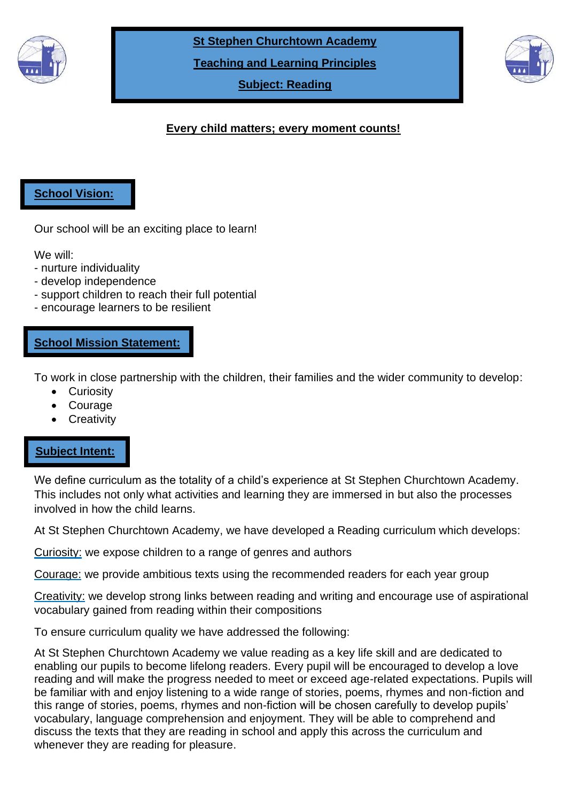

**St Stephen Churchtown Academy**

**Teaching and Learning Principles**

**Subject: Reading**



# **Every child matters; every moment counts!**

### **School Vision:**

Our school will be an exciting place to learn!

We will:

- nurture individuality
- develop independence
- support children to reach their full potential
- encourage learners to be resilient

### **School Mission Statement:**

To work in close partnership with the children, their families and the wider community to develop:

- Curiosity
- Courage
- **Creativity**

### **Subject Intent:**

**Impact:**

We define curriculum as the totality of a child's experience at St Stephen Churchtown Academy. This includes not only what activities and learning they are immersed in but also the processes involved in how the child learns.

At St Stephen Churchtown Academy, we have developed a Reading curriculum which develops:

Curiosity: we expose children to a range of genres and authors

Courage: we provide ambitious texts using the recommended readers for each year group

Creativity: we develop strong links between reading and writing and encourage use of aspirational vocabulary gained from reading within their compositions

To ensure curriculum quality we have addressed the following:

At St Stephen Churchtown Academy we value reading as a key life skill and are dedicated to enabling our pupils to become lifelong readers. Every pupil will be encouraged to develop a love reading and will make the progress needed to meet or exceed age-related expectations. Pupils will be familiar with and enjoy listening to a wide range of stories, poems, rhymes and non-fiction and this range of stories, poems, rhymes and non-fiction will be chosen carefully to develop pupils' vocabulary, language comprehension and enjoyment. They will be able to comprehend and discuss the texts that they are reading in school and apply this across the curriculum and whenever they are reading for pleasure.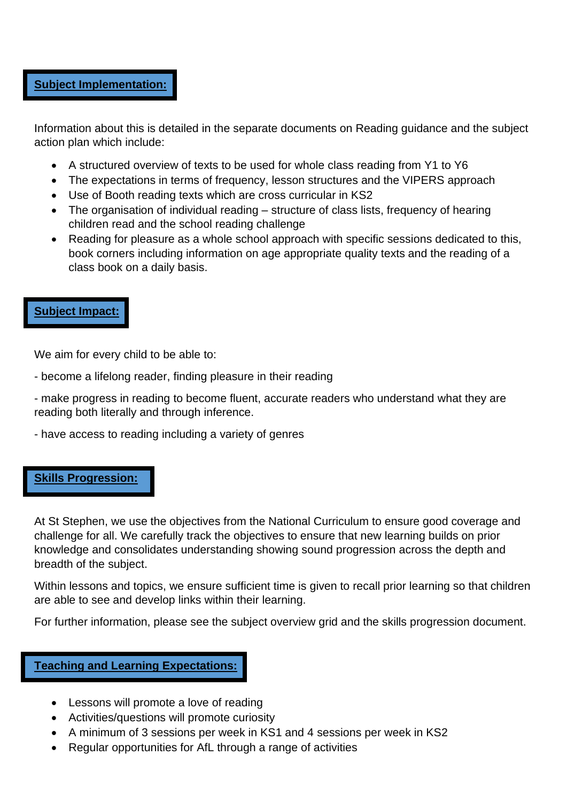### **Subject Implementation:**

Information about this is detailed in the separate documents on Reading guidance and the subject action plan which include:

- A structured overview of texts to be used for whole class reading from Y1 to Y6
- The expectations in terms of frequency, lesson structures and the VIPERS approach
- Use of Booth reading texts which are cross curricular in KS2
- The organisation of individual reading structure of class lists, frequency of hearing children read and the school reading challenge
- Reading for pleasure as a whole school approach with specific sessions dedicated to this, book corners including information on age appropriate quality texts and the reading of a class book on a daily basis.

### **Subject Impact:**

We aim for every child to be able to:

- become a lifelong reader, finding pleasure in their reading
- make progress in reading to become fluent, accurate readers who understand what they are reading both literally and through inference.
- have access to reading including a variety of genres

### **Skills Progression:**

At St Stephen, we use the objectives from the National Curriculum to ensure good coverage and challenge for all. We carefully track the objectives to ensure that new learning builds on prior knowledge and consolidates understanding showing sound progression across the depth and breadth of the subject.

Within lessons and topics, we ensure sufficient time is given to recall prior learning so that children are able to see and develop links within their learning.

For further information, please see the subject overview grid and the skills progression document.

### **Teaching and Learning Expectations:**

- Lessons will promote a love of reading
- Activities/questions will promote curiosity
- A minimum of 3 sessions per week in KS1 and 4 sessions per week in KS2
- Regular opportunities for AfL through a range of activities